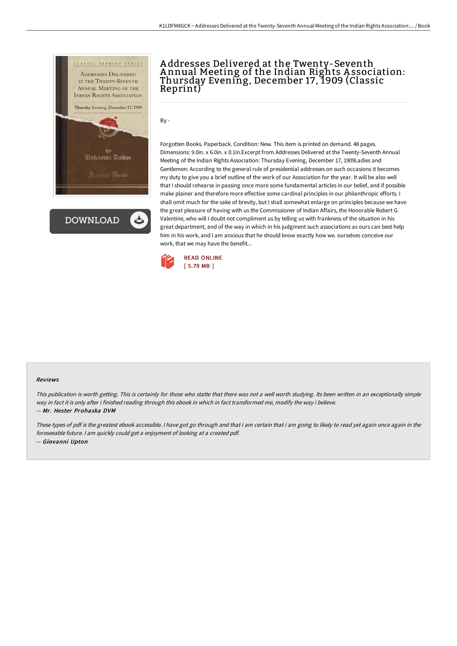

**DOWNLOAD** 

# A ddresses Delivered at the Twenty-Seventh A nnual Meeting of the Indian Rights A ssociation: Thursday Evening, December 17, 1909 (Classic Reprint)

By -

Forgotten Books. Paperback. Condition: New. This item is printed on demand. 48 pages. Dimensions: 9.0in. x 6.0in. x 0.1in.Excerpt from Addresses Delivered at the Twenty-Seventh Annual Meeting of the Indian Rights Association: Thursday Evening, December 17, 1909Ladies and Gentlemen: According to the general rule of presidential addresses on such occasions it becomes my duty to give you a brief outline of the work of our Association for the year. It will be also well that I should rehearse in passing once more some fundamental articles in our belief, and if possible make plainer and therefore more effective some cardinal principles in our philanthropic efforts. I shall omit much for the sake of brevity, but I shall somewhat enlarge on principles because we have the great pleasure of having with us the Commissioner of Indian Affairs, the Honorable Robert G. Valentine, who will I doubt not compliment us by telling us with frankness of the situation in his great department, and of the way in which in his judgment such associations as ours can best help him in his work, and I am anxious that he should know exactly how we. ourselves conceive our work, that we may have the benefit...



#### Reviews

This publication is worth getting. This is certainly for those who statte that there was not <sup>a</sup> well worth studying. Its been written in an exceptionally simple way in fact it is only after i finished reading through this ebook in which in fact transformed me, modify the way i believe. -- Mr. Hester Prohaska DVM

These types of pdf is the greatest ebook accessible. <sup>I</sup> have got go through and that i am certain that i am going to likely to read yet again once again in the foreseeable future. <sup>I</sup> am quickly could get <sup>a</sup> enjoyment of looking at <sup>a</sup> created pdf. -- Giovanni Upton